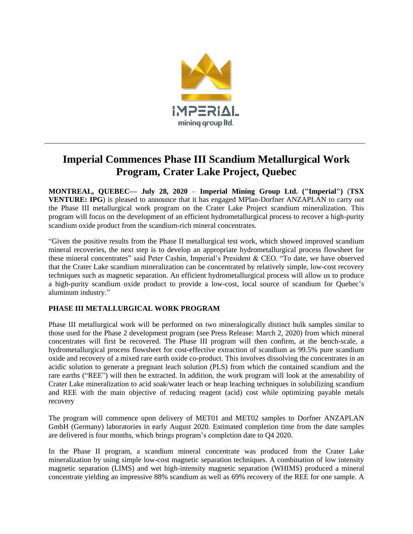

# **Imperial Commences Phase III Scandium Metallurgical Work Program, Crater Lake Project, Quebec**

**MONTREAL, QUEBEC— July 28, 2020** – **Imperial Mining Group Ltd. ("Imperial")** (**TSX VENTURE: IPG**) is pleased to announce that it has engaged MPlan-Dorfner ANZAPLAN to carry out the Phase III metallurgical work program on the Crater Lake Project scandium mineralization. This program will focus on the development of an efficient hydrometallurgical process to recover a high-purity scandium oxide product from the scandium-rich mineral concentrates.

"Given the positive results from the Phase II metallurgical test work, which showed improved scandium mineral recoveries, the next step is to develop an appropriate hydrometallurgical process flowsheet for these mineral concentrates" said Peter Cashin, Imperial's President & CEO. "To date, we have observed that the Crater Lake scandium mineralization can be concentrated by relatively simple, low-cost recovery techniques such as magnetic separation. An efficient hydrometallurgical process will allow us to produce a high-purity scandium oxide product to provide a low-cost, local source of scandium for Quebec's aluminum industry."

# **PHASE III METALLURGICAL WORK PROGRAM**

Phase III metallurgical work will be performed on two mineralogically distinct bulk samples similar to those used for the Phase 2 development program (see Press Release: March 2, 2020) from which mineral concentrates will first be recovered. The Phase III program will then confirm, at the bench-scale, a hydrometallurgical process flowsheet for cost-effective extraction of scandium as 99.5% pure scandium oxide and recovery of a mixed rare earth oxide co-product. This involves dissolving the concentrates in an acidic solution to generate a pregnant leach solution (PLS) from which the contained scandium and the rare earths ("REE") will then be extracted. In addition, the work program will look at the amenability of Crater Lake mineralization to acid soak/water leach or heap leaching techniques in solubilizing scandium and REE with the main objective of reducing reagent (acid) cost while optimizing payable metals recovery

The program will commence upon delivery of MET01 and MET02 samples to Dorfner ANZAPLAN GmbH (Germany) laboratories in early August 2020. Estimated completion time from the date samples are delivered is four months, which brings program's completion date to Q4 2020.

In the Phase II program, a scandium mineral concentrate was produced from the Crater Lake mineralization by using simple low-cost magnetic separation techniques. A combination of low intensity magnetic separation (LIMS) and wet high-intensity magnetic separation (WHIMS) produced a mineral concentrate yielding an impressive 88% scandium as well as 69% recovery of the REE for one sample. A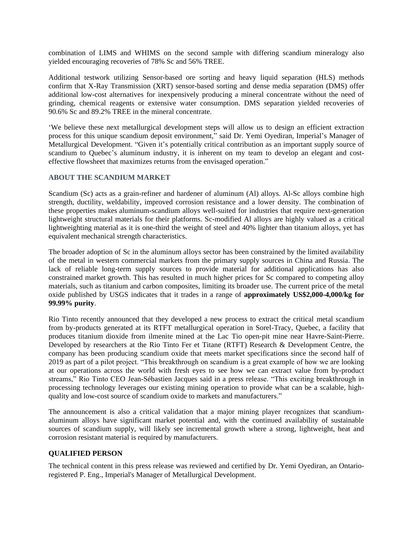combination of LIMS and WHIMS on the second sample with differing scandium mineralogy also yielded encouraging recoveries of 78% Sc and 56% TREE.

Additional testwork utilizing Sensor-based ore sorting and heavy liquid separation (HLS) methods confirm that X-Ray Transmission (XRT) sensor-based sorting and dense media separation (DMS) offer additional low-cost alternatives for inexpensively producing a mineral concentrate without the need of grinding, chemical reagents or extensive water consumption. DMS separation yielded recoveries of 90.6% Sc and 89.2% TREE in the mineral concentrate.

'We believe these next metallurgical development steps will allow us to design an efficient extraction process for this unique scandium deposit environment," said Dr. Yemi Oyediran, Imperial's Manager of Metallurgical Development. "Given it's potentially critical contribution as an important supply source of scandium to Quebec's aluminum industry, it is inherent on my team to develop an elegant and costeffective flowsheet that maximizes returns from the envisaged operation."

### **ABOUT THE SCANDIUM MARKET**

Scandium (Sc) acts as a grain-refiner and hardener of aluminum (Al) alloys. Al-Sc alloys combine high strength, ductility, weldability, improved corrosion resistance and a lower density. The combination of these properties makes aluminum-scandium alloys well-suited for industries that require next-generation lightweight structural materials for their platforms. Sc-modified Al alloys are highly valued as a critical lightweighting material as it is one-third the weight of steel and 40% lighter than titanium alloys, yet has equivalent mechanical strength characteristics.

The broader adoption of Sc in the aluminum alloys sector has been constrained by the limited availability of the metal in western commercial markets from the primary supply sources in China and Russia. The lack of reliable long-term supply sources to provide material for additional applications has also constrained market growth. This has resulted in much higher prices for Sc compared to competing alloy materials, such as titanium and carbon composites, limiting its broader use. The current price of the metal oxide published by USGS indicates that it trades in a range of **approximately US\$2,000-4,000/kg for 99.99% purity**.

Rio Tinto recently announced that they developed a new process to extract the critical metal scandium from by-products generated at its RTFT metallurgical operation in Sorel-Tracy, Quebec, a facility that produces titanium dioxide from ilmenite mined at the Lac Tio open-pit mine near Havre-Saint-Pierre. Developed by researchers at the Rio Tinto Fer et Titane (RTFT) Research & Development Centre, the company has been producing scandium oxide that meets market specifications since the second half of 2019 as part of a pilot project. "This breakthrough on scandium is a great example of how we are looking at our operations across the world with fresh eyes to see how we can extract value from by-product streams," Rio Tinto CEO Jean-Sébastien Jacques said in a press release. "This exciting breakthrough in processing technology leverages our existing mining operation to provide what can be a scalable, highquality and low-cost source of scandium oxide to markets and manufacturers."

The announcement is also a critical validation that a major mining player recognizes that scandiumaluminum alloys have significant market potential and, with the continued availability of sustainable sources of scandium supply, will likely see incremental growth where a strong, lightweight, heat and corrosion resistant material is required by manufacturers.

#### **QUALIFIED PERSON**

The technical content in this press release was reviewed and certified by Dr. Yemi Oyediran, an Ontarioregistered P. Eng., Imperial's Manager of Metallurgical Development.